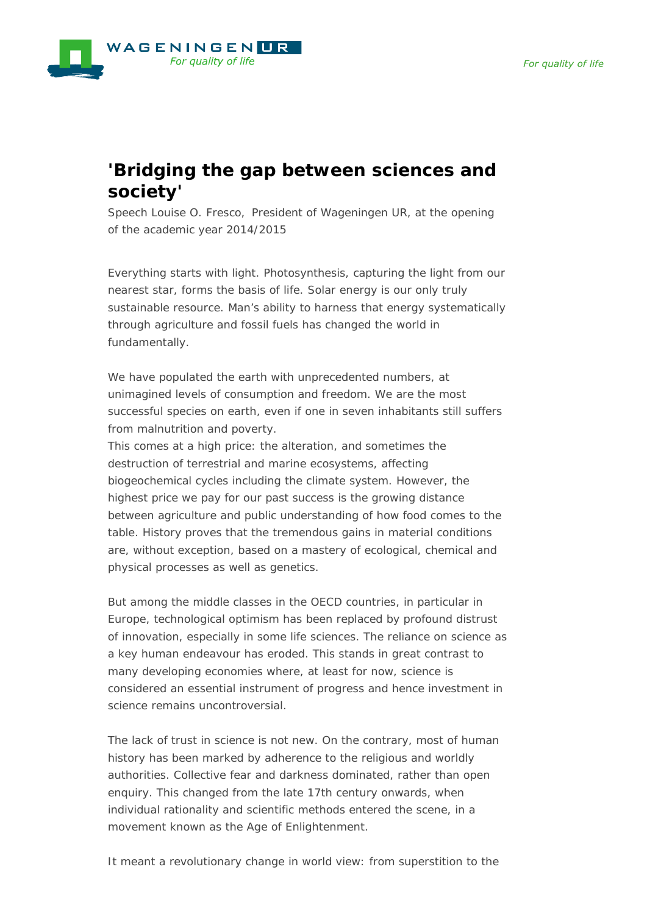

## **'Bridging the gap between sciences and society'**

*Speech Louise O. Fresco, President of Wageningen UR, at the opening of the academic year 2014/2015*

Everything starts with light. Photosynthesis, capturing the light from our nearest star, forms the basis of life. Solar energy is our only truly sustainable resource. Man's ability to harness that energy systematically through agriculture and fossil fuels has changed the world in fundamentally.

We have populated the earth with unprecedented numbers, at unimagined levels of consumption and freedom. We are the most successful species on earth, even if one in seven inhabitants still suffers from malnutrition and poverty.

This comes at a high price: the alteration, and sometimes the destruction of terrestrial and marine ecosystems, affecting biogeochemical cycles including the climate system. However, the highest price we pay for our past success is the growing distance between agriculture and public understanding of how food comes to the table. History proves that the tremendous gains in material conditions are, without exception, based on a mastery of ecological, chemical and physical processes as well as genetics.

But among the middle classes in the OECD countries, in particular in Europe, technological optimism has been replaced by profound distrust of innovation, especially in some life sciences. The reliance on science as a key human endeavour has eroded. This stands in great contrast to many developing economies where, at least for now, science is considered an essential instrument of progress and hence investment in science remains uncontroversial.

The lack of trust in science is not new. On the contrary, most of human history has been marked by adherence to the religious and worldly authorities. Collective fear and darkness dominated, rather than open enquiry. This changed from the late 17th century onwards, when individual rationality and scientific methods entered the scene, in a movement known as the Age of Enlightenment.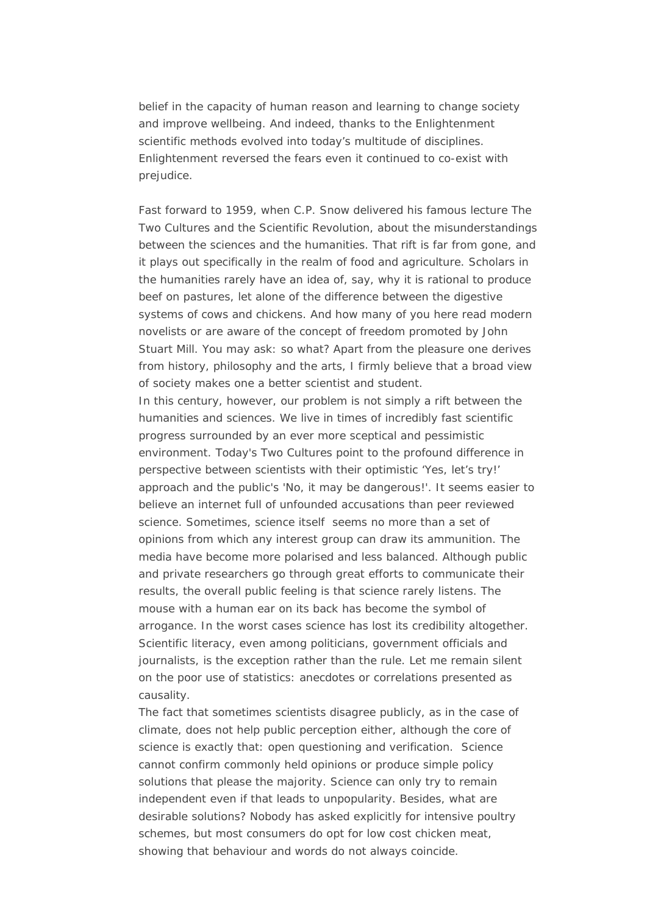belief in the capacity of human reason and learning to change society and improve wellbeing. And indeed, thanks to the Enlightenment scientific methods evolved into today's multitude of disciplines. Enlightenment reversed the fears even it continued to co-exist with prejudice.

Fast forward to 1959, when C.P. Snow delivered his famous lecture The Two Cultures and the Scientific Revolution, about the misunderstandings between the sciences and the humanities. That rift is far from gone, and it plays out specifically in the realm of food and agriculture. Scholars in the humanities rarely have an idea of, say, why it is rational to produce beef on pastures, let alone of the difference between the digestive systems of cows and chickens. And how many of you here read modern novelists or are aware of the concept of freedom promoted by John Stuart Mill. You may ask: so what? Apart from the pleasure one derives from history, philosophy and the arts, I firmly believe that a broad view of society makes one a better scientist and student.

In this century, however, our problem is not simply a rift between the humanities and sciences. We live in times of incredibly fast scientific progress surrounded by an ever more sceptical and pessimistic environment. Today's Two Cultures point to the profound difference in perspective between scientists with their optimistic 'Yes, let's try!' approach and the public's 'No, it may be dangerous!'. It seems easier to believe an internet full of unfounded accusations than peer reviewed science. Sometimes, science itself seems no more than a set of opinions from which any interest group can draw its ammunition. The media have become more polarised and less balanced. Although public and private researchers go through great efforts to communicate their results, the overall public feeling is that science rarely listens. The mouse with a human ear on its back has become the symbol of arrogance. In the worst cases science has lost its credibility altogether. Scientific literacy, even among politicians, government officials and journalists, is the exception rather than the rule. Let me remain silent on the poor use of statistics: anecdotes or correlations presented as causality.

The fact that sometimes scientists disagree publicly, as in the case of climate, does not help public perception either, although the core of science is exactly that: open questioning and verification. Science cannot confirm commonly held opinions or produce simple policy solutions that please the majority. Science can only try to remain independent even if that leads to unpopularity. Besides, what are desirable solutions? Nobody has asked explicitly for intensive poultry schemes, but most consumers do opt for low cost chicken meat, showing that behaviour and words do not always coincide.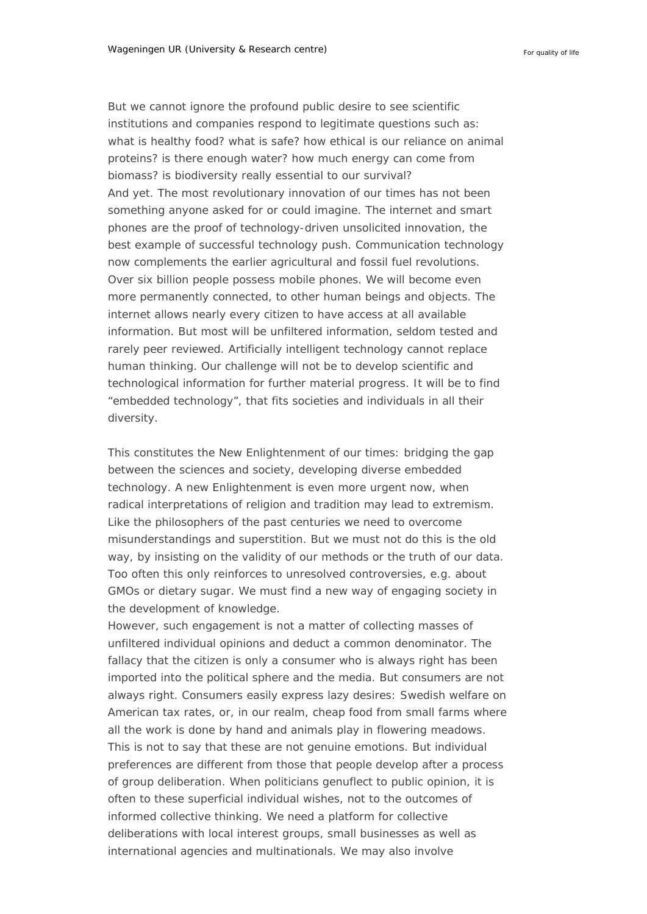But we cannot ignore the profound public desire to see scientific institutions and companies respond to legitimate questions such as: what is healthy food? what is safe? how ethical is our reliance on animal proteins? is there enough water? how much energy can come from biomass? is biodiversity really essential to our survival? And yet. The most revolutionary innovation of our times has not been something anyone asked for or could imagine. The internet and smart phones are the proof of technology-driven unsolicited innovation, the best example of successful technology push. Communication technology now complements the earlier agricultural and fossil fuel revolutions. Over six billion people possess mobile phones. We will become even more permanently connected, to other human beings and objects. The internet allows nearly every citizen to have access at all available information. But most will be unfiltered information, seldom tested and rarely peer reviewed. Artificially intelligent technology cannot replace human thinking. Our challenge will not be to develop scientific and technological information for further material progress. It will be to find "embedded technology", that fits societies and individuals in all their diversity.

This constitutes the New Enlightenment of our times: bridging the gap between the sciences and society, developing diverse embedded technology. A new Enlightenment is even more urgent now, when radical interpretations of religion and tradition may lead to extremism. Like the philosophers of the past centuries we need to overcome misunderstandings and superstition. But we must not do this is the old way, by insisting on the validity of our methods or the truth of our data. Too often this only reinforces to unresolved controversies, e.g. about GMOs or dietary sugar. We must find a new way of engaging society in the development of knowledge.

However, such engagement is not a matter of collecting masses of unfiltered individual opinions and deduct a common denominator. The fallacy that the citizen is only a consumer who is always right has been imported into the political sphere and the media. But consumers are not always right. Consumers easily express lazy desires: Swedish welfare on American tax rates, or, in our realm, cheap food from small farms where all the work is done by hand and animals play in flowering meadows. This is not to say that these are not genuine emotions. But individual preferences are different from those that people develop after a process of group deliberation. When politicians genuflect to public opinion, it is often to these superficial individual wishes, not to the outcomes of informed collective thinking. We need a platform for collective deliberations with local interest groups, small businesses as well as international agencies and multinationals. We may also involve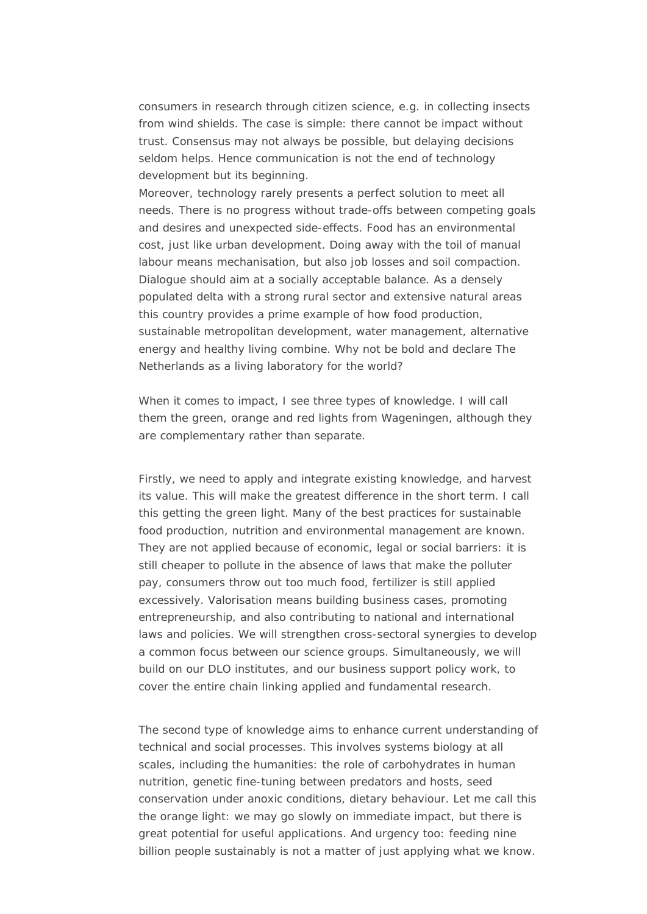consumers in research through citizen science, e.g. in collecting insects from wind shields. The case is simple: there cannot be impact without trust. Consensus may not always be possible, but delaying decisions seldom helps. Hence communication is not the end of technology development but its beginning.

Moreover, technology rarely presents a perfect solution to meet all needs. There is no progress without trade-offs between competing goals and desires and unexpected side-effects. Food has an environmental cost, just like urban development. Doing away with the toil of manual labour means mechanisation, but also job losses and soil compaction. Dialogue should aim at a socially acceptable balance. As a densely populated delta with a strong rural sector and extensive natural areas this country provides a prime example of how food production, sustainable metropolitan development, water management, alternative energy and healthy living combine. Why not be bold and declare The Netherlands as a living laboratory for the world?

When it comes to impact, I see three types of knowledge. I will call them the green, orange and red lights from Wageningen, although they are complementary rather than separate.

Firstly, we need to apply and integrate existing knowledge, and harvest its value. This will make the greatest difference in the short term. I call this getting the green light. Many of the best practices for sustainable food production, nutrition and environmental management are known. They are not applied because of economic, legal or social barriers: it is still cheaper to pollute in the absence of laws that make the polluter pay, consumers throw out too much food, fertilizer is still applied excessively. Valorisation means building business cases, promoting entrepreneurship, and also contributing to national and international laws and policies. We will strengthen cross-sectoral synergies to develop a common focus between our science groups. Simultaneously, we will build on our DLO institutes, and our business support policy work, to cover the entire chain linking applied and fundamental research.

The second type of knowledge aims to enhance current understanding of technical and social processes. This involves systems biology at all scales, including the humanities: the role of carbohydrates in human nutrition, genetic fine-tuning between predators and hosts, seed conservation under anoxic conditions, dietary behaviour. Let me call this the orange light: we may go slowly on immediate impact, but there is great potential for useful applications. And urgency too: feeding nine billion people sustainably is not a matter of just applying what we know.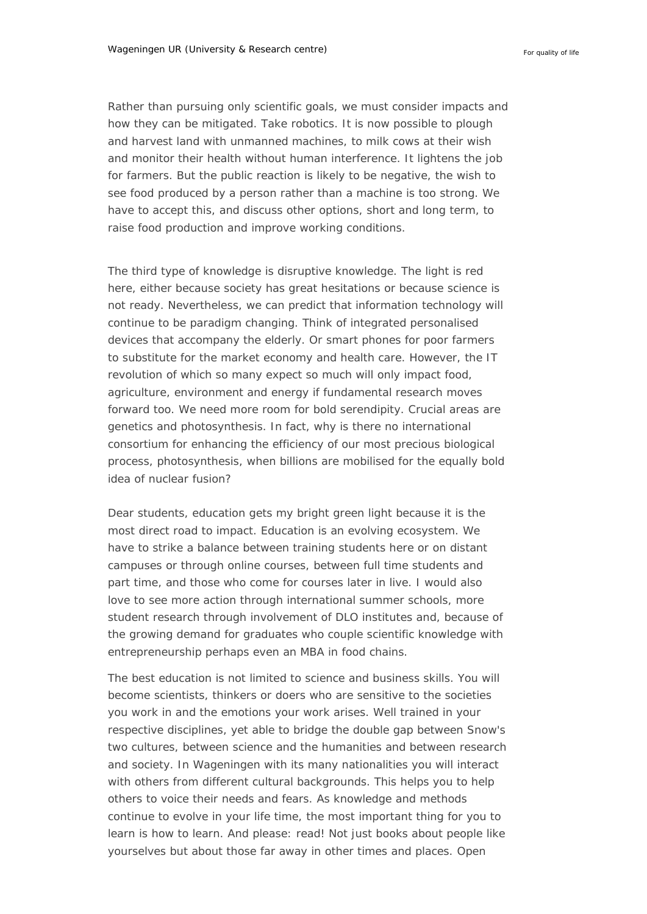Rather than pursuing only scientific goals, we must consider impacts and how they can be mitigated. Take robotics. It is now possible to plough and harvest land with unmanned machines, to milk cows at their wish and monitor their health without human interference. It lightens the job for farmers. But the public reaction is likely to be negative, the wish to see food produced by a person rather than a machine is too strong. We have to accept this, and discuss other options, short and long term, to raise food production and improve working conditions.

The third type of knowledge is disruptive knowledge. The light is red here, either because society has great hesitations or because science is not ready. Nevertheless, we can predict that information technology will continue to be paradigm changing. Think of integrated personalised devices that accompany the elderly. Or smart phones for poor farmers to substitute for the market economy and health care. However, the IT revolution of which so many expect so much will only impact food, agriculture, environment and energy if fundamental research moves forward too. We need more room for bold serendipity. Crucial areas are genetics and photosynthesis. In fact, why is there no international consortium for enhancing the efficiency of our most precious biological process, photosynthesis, when billions are mobilised for the equally bold idea of nuclear fusion?

Dear students, education gets my bright green light because it is the most direct road to impact. Education is an evolving ecosystem. We have to strike a balance between training students here or on distant campuses or through online courses, between full time students and part time, and those who come for courses later in live. I would also love to see more action through international summer schools, more student research through involvement of DLO institutes and, because of the growing demand for graduates who couple scientific knowledge with entrepreneurship perhaps even an MBA in food chains.

The best education is not limited to science and business skills. You will become scientists, thinkers or doers who are sensitive to the societies you work in and the emotions your work arises. Well trained in your respective disciplines, yet able to bridge the double gap between Snow's two cultures, between science and the humanities and between research and society. In Wageningen with its many nationalities you will interact with others from different cultural backgrounds. This helps you to help others to voice their needs and fears. As knowledge and methods continue to evolve in your life time, the most important thing for you to learn is how to learn. And please: read! Not just books about people like yourselves but about those far away in other times and places. Open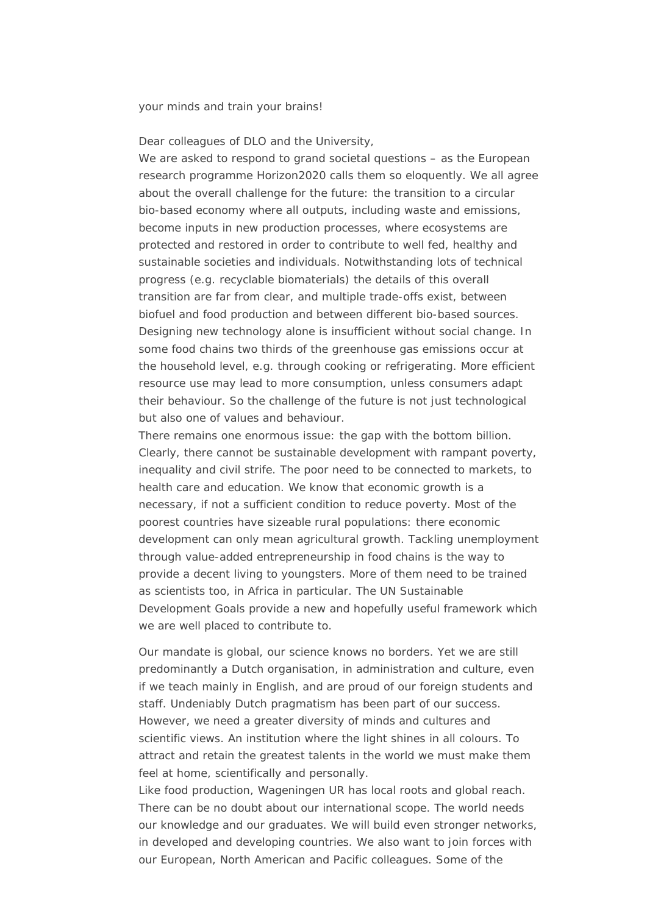your minds and train your brains!

Dear colleagues of DLO and the University,

We are asked to respond to grand societal questions – as the European research programme Horizon2020 calls them so eloquently. We all agree about the overall challenge for the future: the transition to a circular bio-based economy where all outputs, including waste and emissions, become inputs in new production processes, where ecosystems are protected and restored in order to contribute to well fed, healthy and sustainable societies and individuals. Notwithstanding lots of technical progress (e.g. recyclable biomaterials) the details of this overall transition are far from clear, and multiple trade-offs exist, between biofuel and food production and between different bio-based sources. Designing new technology alone is insufficient without social change. In some food chains two thirds of the greenhouse gas emissions occur at the household level, e.g. through cooking or refrigerating. More efficient resource use may lead to more consumption, unless consumers adapt their behaviour. So the challenge of the future is not just technological but also one of values and behaviour.

There remains one enormous issue: the gap with the bottom billion. Clearly, there cannot be sustainable development with rampant poverty, inequality and civil strife. The poor need to be connected to markets, to health care and education. We know that economic growth is a necessary, if not a sufficient condition to reduce poverty. Most of the poorest countries have sizeable rural populations: there economic development can only mean agricultural growth. Tackling unemployment through value-added entrepreneurship in food chains is the way to provide a decent living to youngsters. More of them need to be trained as scientists too, in Africa in particular. The UN Sustainable Development Goals provide a new and hopefully useful framework which we are well placed to contribute to.

Our mandate is global, our science knows no borders. Yet we are still predominantly a Dutch organisation, in administration and culture, even if we teach mainly in English, and are proud of our foreign students and staff. Undeniably Dutch pragmatism has been part of our success. However, we need a greater diversity of minds and cultures and scientific views. An institution where the light shines in all colours. To attract and retain the greatest talents in the world we must make them feel at home, scientifically and personally.

Like food production, Wageningen UR has local roots and global reach. There can be no doubt about our international scope. The world needs our knowledge and our graduates. We will build even stronger networks, in developed and developing countries. We also want to join forces with our European, North American and Pacific colleagues. Some of the